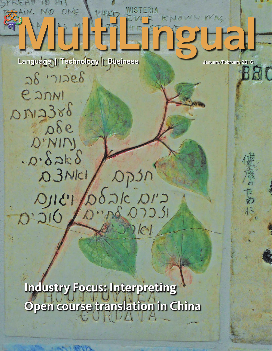## NE WHAT KNOWN WAS UC e F

Dp3n

 $\delta$ alc DI'a

MAG 07251

CONCOUNT

[Language | Technology | Business](https://multilingual.com) **January/February 2016** 

 $28.71286$ 

**E** JNNI

 $ADM2386$ 

 $000$ 

 $D' NIN$ 

 $0.8$ ak $8$ 

 $131Q$ 

 $O(\tilde{G}^{\circ}Q)$ 

D. 3 NICI

 $\bigcap$ 

**MARY'S** 

BRC

**[Industry Focus: Interpreting](#page-1-0) Open course translation in China**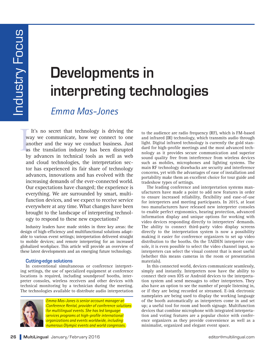# <span id="page-1-0"></span>**Developments in interpreting technologies**

## *Emma Mas-Jones*

W<br>ar<br>as<br>by It's no secret that technology is driving the way we communicate, how we connect to one another and the way we conduct business. Just as the translation industry has been disrupted by advances in technical tools as well as web and cloud technologies, the interpretation sector has experienced its fair share of technology advances, innovations and has evolved with the increasing demands of the ever-connected world. Our expectations have changed; the experience is everything. We are surrounded by smart, multifunction devices, and we expect to receive service everywhere at any time. What changes have been brought to the landscape of interpreting technology to respond to these new expectations?

Industry leaders have made strides in three key areas: the design of high-efficiency and multifunctional solutions adaptable to various event settings; interpretation delivered straight to mobile devices; and remote interpreting for an increased globalized workplace. This article will provide an overview of these latest developments and an emerging future technology.

#### **Cutting-edge solutions**

In conventional simultaneous or conference interpreting settings, the use of specialized equipment at conference locations is required, including soundproof booths, interpreter consoles, wireless receivers and other devices with technical monitoring by a technician during the meeting. The technologies available to distribute audio interpretation



*Emma Mas-Jones is senior account manager at Conference Rental, provider of conference solutions for multilingual events. She has led language services programs at high-profile international organizations and events worldwide, including numerous Olympic events and world congresses.* 

to the audience are radio frequency (RF), which is FM-based and infrared (IR) technology, which transmits audio through light. Digital infrared technology is currently the gold standard for high-profile meetings and the most advanced technology as it provides secure communication and superior sound quality free from interference from wireless devices such as mobiles, microphones and lighting systems. The main RF technology drawbacks are security and interference concerns, yet with the advantages of ease of installation and portability make them an excellent choice for tour guide and tradeshow types of settings.

The leading conference and interpretation systems manufacturers have made a point to add new features in order to ensure increased reliability, flexibility and ease-of-use for interpreters and meeting participants. In 2015, at least two manufacturers have released new interpreter consoles to enable perfect ergonomics, hearing protection, advanced information display and unique options for working with video devices responding directly to interpreters' demands. The ability to connect third-party video display screens directly to the interpretation system is now a possibility making it easier for conference organizers to set up video distribution to the booths. On the TAIDEN interpreter console, it is even possible to select the video channel input, so interpreters can select the visual content that is most useful (whether this means cameras in the room or presentation materials).

In this connected world, devices communicate seamlessly, simply and instantly. Interpreters now have the ability to connect their own IOS or Android devices to the interpretation system and send messages to other interpreters. They also have an option to see the number of people listening in, or if they are being recorded or streamed. E-ink electronic nameplates are being used to display the working language of the booth automatically as interpreters come in and set up; a useful tool for room and booth signage. Multifunction devices that combine microphone with integrated interpretation and voting features are a popular choice with conference organizers as they provide convenience as well as a minimalist, organized and elegant event space.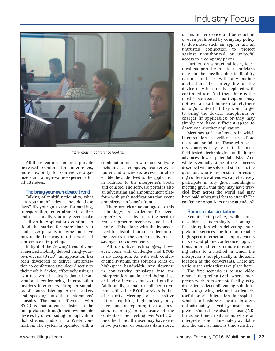

Interpreters in conference booths.

All these features combined provide increased comfort for interpreters, more flexibility for conference organizers and a high-value experience for all attendees.

#### **The bring-your-own-device trend**

Talking of multifunctionality, what can your mobile device not do these days? It's your go-to tool for banking, transportation, entertainment, dating and occasionally you may even make a call on it. Applications continue to flood the market for more than you could ever possibly imagine and have now made their way into the world of conference interpreting.

In light of the growing trend of consumerized mobility dubbed bring-yourown-device (BYOD), an application has been developed to deliver interpretation to conference attendees directly to their mobile device, effectively using it as a receiver. The idea is that all conventional conferencing interpretation involves interpreters sitting in soundproof booths listening to the speakers and speaking into their interpreters' consoles. The main difference with BYOD is that attendees listen to the interpretation through their own mobile devices by downloading an application that streams audio via a Wi-Fi connection. The system is operated with a

combination of hardware and software including a computer, converter, a router and a wireless access portal to enable the audio feed to the application in addition to the interpreter's booth and console. The software portal is also an advertising and announcement platform with push notifications that event organizers can benefit from.

There are clear advantages to this technology, in particular for event organizers, as it bypasses the need to rent or procure receivers and headphones. This, along with the bypassed need for distribution and collection of the devices at the venue results in cost savings and convenience.

All disruptive technologies, however, come with challenges and BYOD is no exception. As with web conferencing systems, this solution relies on high-speed bandwidth; any slowness in connectivity translates into the interpretation audio feed being lost or having inconsistent sound quality. Additionally, a major challenge common with other BYOD services is that of security. Meetings of a sensitive nature requiring high privacy may have concerns regarding the transmission, recording or disclosure of the contents of the meeting over Wi-Fi. On the other hand, the user may have sensitive personal or business data stored

### Industry Focus

on his or her device and be reluctant or even prohibited by company policy to download such an app or use an untrusted connection to protect against unauthorized or unlawful access to a company phone.

Further, on a practical level, technical support by onsite technicians may not be possible due to liability reasons and, as with any mobile application, the battery life of the device may be quickly depleted with continued use. And then there is the most basic issue — participants may not own a smartphone or tablet; there is no guarantee that they won't forget to bring the device, headphones or charger (if applicable); or they may simply not have sufficient space to download another application.

Meetings and conferences in which interpretation is critical can afford no room for failure. Those with security concerns may resort to the most field-tested technologies until future advances lower potential risks. And while eventually some of the concerns described will be solved, it still raises the question: who is responsible for ensuring conference attendees can effectively participate in any given multilingual meeting given that they may have traveled from across the world and may have paid substantial fees to attend? The conference organizers or the attendees?

#### **Remote interpretation**

Remote interpreting, while not a new idea, is increasingly becoming a feasible option when delivering interpretation services due to more reliable high-speed internet and improvements in web and phone conference applications. In broad terms, remote interpreting refers to a method in which the interpreter is not physically in the same location as the conversants. There are various scenarios that take place here.

The first scenario is to use video remote interpreting (VRI) where interpreters work from a remote facility using dedicated videoconferencing solutions. VRI is a growing field and particularly useful for brief interactions in hospitals, schools or businesses located in areas not adequately served by onsite interpreters. Courts have also been using VRI for some time in situations where an interpreter is not immediately available and the case at hand is time sensitive.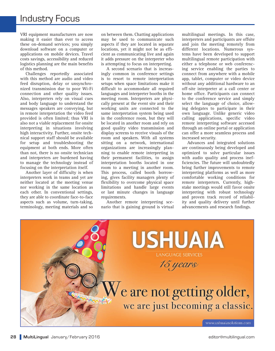VRI equipment manufacturers are now making it easier than ever to access these on-demand services; you simply download software on a computer or applications on mobile devices. Travel costs savings, accessibility and reduced logistics planning are the main benefits of this method.

Challenges reportedly associated with this method are audio and video feed disruption, delay or unsynchronized transmission due to poor Wi-Fi connection and other quality issues. Also, interpreters rely on visual cues and body language to understand the messages speakers are conveying, but in remote interpretation the video feed provided is often limited; thus VRI is also not a viable replacement for onsite interpreting in situations involving high interactivity. Further, onsite technical support staff should be available for setup and troubleshooting the equipment at both ends. More often than not, there is no onsite technician and interpreters are burdened having to manage the technology instead of focusing on the interpretation itself.

Another layer of difficulty is when interpreters work in teams and yet are neither located at the meeting venue nor working in the same location as each other. In conventional settings, they are able to coordinate face-to-face aspects such as volume, turn-taking, terminology, meeting materials and so on between them. Chatting applications may be used to communicate such aspects if they are located in separate locations, yet it might not be as efficient as communicating live and again it adds pressure on the interpreter who is attempting to focus on interpreting.

A second scenario that is increasingly common in conference settings is to resort to remote interpretation setups when space limitations make it difficult to accommodate all required languages and interpreter booths in the meeting room. Interpreters are physically present at the event site and their working units are connected to the same interpretation system being used in the conference room, but they will be located in another room and rely on good quality video transmission and display screens to receive visuals of the room and speakers. With all systems sitting on a network, international organizations are increasingly planning to enable remote interpreting in their permanent facilities, to assign interpretation booths located in one room to a meeting in another room. This process, called booth borrowing, gives facility managers plenty of flexibility to overcome physical space limitations and handle large events or last minute changes in language requirements.

Another remote interpreting scenario that is gaining ground is virtual

multilingual meetings. In this case, interpreters and participants are offsite and join the meeting remotely from different locations. Numerous systems have been developed to support multilingual remote participation with either a telephone or web conferencing service enabling the parties to connect from anywhere with a mobile app, tablet, computer or video device without any additional hardware to an off-site interpreter at a call center or home office. Participants can connect to the conference service and simply select the language of choice, allowing delegates to participate in their own language. Unlike generic video calling applications, specific video remote interpreting software accessed through an online portal or application can offer a more seamless process and increased security.

Advances and integrated solutions are continuously being developed and optimized to solve particular issues with audio quality and process inefficiencies. The future will undoubtedly bring further improvements to remote interpreting platforms as well as more comfortable working conditions for remote interpreters. Currently, highstake meetings would still favor onsite interpreting with robust technology and proven track record of reliability and quality delivery until further advancements and research findings.